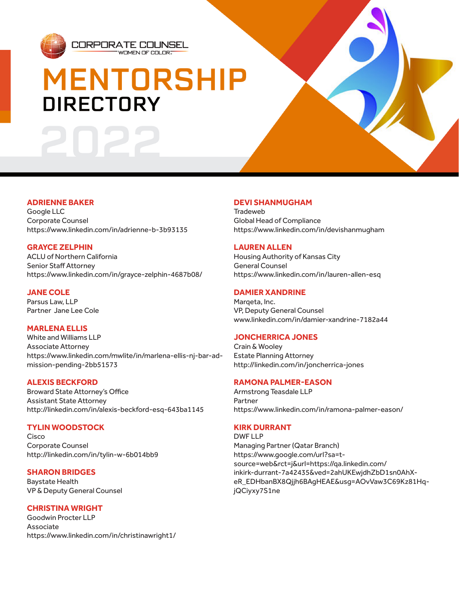

# **MENTORSHIP DIRECTORY**

WOMEN OF COLOR

CORPORATE COUNSEL

# **ADRIENNE BAKER**

Google LLC Corporate Counsel https://www.linkedin.com/in/adrienne-b-3b93135

## **GRAYCE ZELPHIN**

ACLU of Northern California Senior Staff Attorney https://www.linkedin.com/in/grayce-zelphin-4687b08/

## **JANE COLE**

Parsus Law, LLP Partner Jane Lee Cole

## **MARLENA ELLIS**

White and Williams LLP Associate Attorney https://www.linkedin.com/mwlite/in/marlena-ellis-nj-bar-admission-pending-2bb51573

## **ALEXIS BECKFORD**

Broward State Attorney's Office Assistant State Attorney http://linkedin.com/in/alexis-beckford-esq-643ba1145

## **TYLIN WOODSTOCK**

Cisco Corporate Counsel http://linkedin.com/in/tylin-w-6b014bb9

# **SHARON BRIDGES**

Baystate Health VP & Deputy General Counsel

# **CHRISTINA WRIGHT**

Goodwin Procter LLP Associate https://www.linkedin.com/in/christinawright1/

# **DEVI SHANMUGHAM**

**Tradeweb** Global Head of Compliance https://www.linkedin.com/in/devishanmugham

## **LAUREN ALLEN**

Housing Authority of Kansas City General Counsel https://www.linkedin.com/in/lauren-allen-esq

## **DAMIER XANDRINE**

Marqeta, Inc. VP, Deputy General Counsel www.linkedin.com/in/damier-xandrine-7182a44

## **JONCHERRICA JONES**

Crain & Wooley Estate Planning Attorney http://linkedin.com/in/joncherrica-jones

## **RAMONA PALMER-EASON**

Armstrong Teasdale LLP Partner https://www.linkedin.com/in/ramona-palmer-eason/

# **KIRK DURRANT**

DWF LLP Managing Partner (Qatar Branch) https://www.google.com/url?sa=tsource=web&rct=j&url=https://qa.linkedin.com/ inkirk-durrant-7a42435&ved=2ahUKEwjdhZbD1sn0AhXeR\_EDHbanBX8Qjjh6BAgHEAE&usg=AOvVaw3C69Kz81HqjQCiyxy7S1ne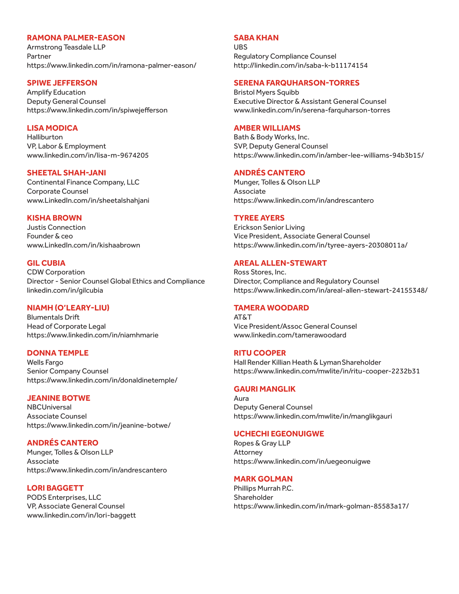## **RAMONA PALMER-EASON**

Armstrong Teasdale LLP Partner https://www.linkedin.com/in/ramona-palmer-eason/

#### **SPIWE JEFFERSON**

Amplify Education Deputy General Counsel https://www.linkedin.com/in/spiwejefferson

## **LISA MODICA**

**Halliburton** VP, Labor & Employment www.linkedin.com/in/lisa-m-9674205

#### **SHEETAL SHAH-JANI**

Continental Finance Company, LLC Corporate Counsel www.LinkedIn.com/in/sheetalshahjani

#### **KISHA BROWN**

Justis Connection Founder & ceo www.LinkedIn.com/in/kishaabrown

#### **GIL CUBIA**

CDW Corporation Director - Senior Counsel Global Ethics and Compliance linkedin.com/in/gilcubia

#### **NIAMH (O'LEARY-LIU)**

Blumentals Drift Head of Corporate Legal https://www.linkedin.com/in/niamhmarie

#### **DONNA TEMPLE**

Wells Fargo Senior Company Counsel https://www.linkedin.com/in/donaldinetemple/

#### **JEANINE BOTWE**

NBCUniversal Associate Counsel https://www.linkedin.com/in/jeanine-botwe/

## **ANDRÉS CANTERO**

Munger, Tolles & Olson LLP Associate https://www.linkedin.com/in/andrescantero

#### **LORI BAGGETT**

PODS Enterprises, LLC VP, Associate General Counsel www.linkedin.com/in/lori-baggett

## **SABA KHAN**

UBS Regulatory Compliance Counsel http://linkedin.com/in/saba-k-b11174154

#### **SERENA FARQUHARSON-TORRES**

Bristol Myers Squibb Executive Director & Assistant General Counsel www.linkedin.com/in/serena-farquharson-torres

#### **AMBER WILLIAMS**

Bath & Body Works, Inc. SVP, Deputy General Counsel https://www.linkedin.com/in/amber-lee-williams-94b3b15/

#### **ANDRÉS CANTERO**

Munger, Tolles & Olson LLP **Associate** https://www.linkedin.com/in/andrescantero

#### **TYREE AYERS**

Erickson Senior Living Vice President, Associate General Counsel https://www.linkedin.com/in/tyree-ayers-20308011a/

#### **AREAL ALLEN-STEWART**

Ross Stores, Inc. Director, Compliance and Regulatory Counsel https://www.linkedin.com/in/areal-allen-stewart-24155348/

#### **TAMERA WOODARD**

AT&T Vice President/Assoc General Counsel www.linkedin.com/tamerawoodard

#### **RITU COOPER**

Hall Render Killian Heath & LymanShareholder https://www.linkedin.com/mwlite/in/ritu-cooper-2232b31

## **GAURI MANGLIK**

Aura Deputy General Counsel https://www.linkedin.com/mwlite/in/manglikgauri

#### **UCHECHI EGEONUIGWE**

Ropes & Gray LLP Attorney https://www.linkedin.com/in/uegeonuigwe

#### **MARK GOLMAN**

Phillips Murrah P.C. Shareholder https://www.linkedin.com/in/mark-golman-85583a17/